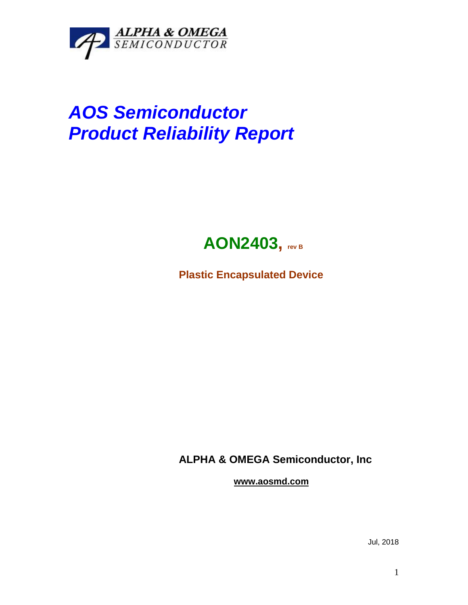

## *AOS Semiconductor Product Reliability Report*



**Plastic Encapsulated Device**

**ALPHA & OMEGA Semiconductor, Inc**

**www.aosmd.com**

Jul, 2018